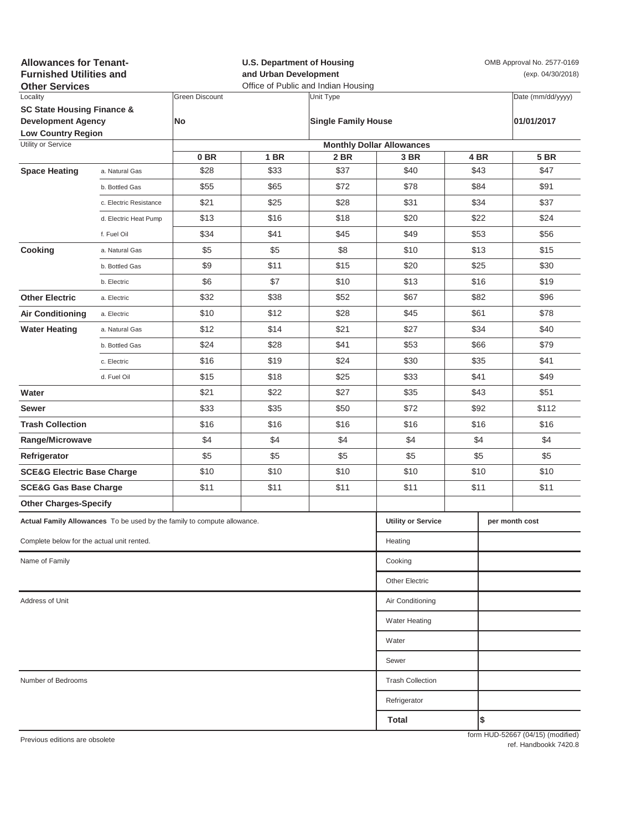| <b>Allowances for Tenant-</b><br><b>Furnished Utilities and</b><br><b>Other Services</b> |                                                                         | <b>U.S. Department of Housing</b><br>and Urban Development<br>Office of Public and Indian Housing |      |                            |                                  | OMB Approval No. 2577-0169<br>(exp. 04/30/2018) |      |                                   |
|------------------------------------------------------------------------------------------|-------------------------------------------------------------------------|---------------------------------------------------------------------------------------------------|------|----------------------------|----------------------------------|-------------------------------------------------|------|-----------------------------------|
| Locality                                                                                 |                                                                         | <b>Green Discount</b>                                                                             |      | Unit Type                  |                                  |                                                 |      | Date (mm/dd/yyyy)                 |
| <b>SC State Housing Finance &amp;</b><br><b>Development Agency</b>                       |                                                                         | No                                                                                                |      |                            |                                  |                                                 |      |                                   |
| <b>Low Country Region</b>                                                                |                                                                         |                                                                                                   |      | <b>Single Family House</b> |                                  | 01/01/2017                                      |      |                                   |
| Utility or Service                                                                       |                                                                         |                                                                                                   |      |                            | <b>Monthly Dollar Allowances</b> |                                                 |      |                                   |
|                                                                                          |                                                                         | 0 <sub>BR</sub>                                                                                   | 1 BR | 2 BR                       | 3 BR                             |                                                 | 4 BR | <b>5 BR</b>                       |
| <b>Space Heating</b>                                                                     | a. Natural Gas                                                          | \$28                                                                                              | \$33 | \$37                       | \$40                             |                                                 | \$43 | \$47                              |
|                                                                                          | b. Bottled Gas                                                          | \$55                                                                                              | \$65 | \$72                       | \$78                             |                                                 | \$84 | \$91                              |
|                                                                                          | c. Electric Resistance                                                  | \$21                                                                                              | \$25 | \$28                       | \$31                             |                                                 | \$34 | \$37                              |
|                                                                                          | d. Electric Heat Pump                                                   | \$13                                                                                              | \$16 | \$18                       | \$20                             |                                                 | \$22 | \$24                              |
|                                                                                          | f. Fuel Oil                                                             | \$34                                                                                              | \$41 | \$45                       | \$49                             |                                                 | \$53 | \$56                              |
| Cooking                                                                                  | a. Natural Gas                                                          | \$5                                                                                               | \$5  | \$8                        | \$10                             |                                                 | \$13 | \$15                              |
|                                                                                          | b. Bottled Gas                                                          | \$9                                                                                               | \$11 | \$15                       | \$20                             |                                                 | \$25 | \$30                              |
|                                                                                          | b. Electric                                                             | \$6                                                                                               | \$7  | \$10                       | \$13                             |                                                 | \$16 | \$19                              |
| <b>Other Electric</b>                                                                    | a. Electric                                                             | \$32                                                                                              | \$38 | \$52                       | \$67                             | \$82                                            |      | \$96                              |
| <b>Air Conditioning</b>                                                                  | a. Electric                                                             | \$10                                                                                              | \$12 | \$28                       | \$45                             | \$61                                            |      | \$78                              |
| <b>Water Heating</b>                                                                     | a. Natural Gas                                                          | \$12                                                                                              | \$14 | \$21                       | \$27                             |                                                 | \$34 | \$40                              |
|                                                                                          | b. Bottled Gas                                                          | \$24                                                                                              | \$28 | \$41                       | \$53                             |                                                 | \$66 | \$79                              |
|                                                                                          | c. Electric                                                             | \$16                                                                                              | \$19 | \$24                       | \$30                             |                                                 | \$35 | \$41                              |
|                                                                                          | d. Fuel Oil                                                             | \$15                                                                                              | \$18 | \$25                       | \$33                             |                                                 | \$41 | \$49                              |
| Water                                                                                    |                                                                         | \$21                                                                                              | \$22 | \$27                       | \$35                             |                                                 | \$43 | \$51                              |
| Sewer                                                                                    |                                                                         | \$33                                                                                              | \$35 | \$50                       | \$72                             |                                                 | \$92 | \$112                             |
| <b>Trash Collection</b>                                                                  |                                                                         | \$16                                                                                              | \$16 | \$16                       | \$16                             |                                                 | \$16 | \$16                              |
| Range/Microwave                                                                          |                                                                         | \$4                                                                                               | \$4  | \$4                        | \$4                              | \$4                                             |      | \$4                               |
| Refrigerator                                                                             |                                                                         | \$5                                                                                               | \$5  | \$5                        | \$5                              | \$5                                             |      | \$5                               |
| <b>SCE&amp;G Electric Base Charge</b>                                                    |                                                                         | \$10                                                                                              | \$10 | \$10                       | \$10                             | \$10                                            |      | \$10                              |
| <b>SCE&amp;G Gas Base Charge</b>                                                         |                                                                         | \$11                                                                                              | \$11 | \$11                       | \$11                             | \$11                                            |      | \$11                              |
| <b>Other Charges-Specify</b>                                                             |                                                                         |                                                                                                   |      |                            |                                  |                                                 |      |                                   |
|                                                                                          | Actual Family Allowances To be used by the family to compute allowance. |                                                                                                   |      |                            | <b>Utility or Service</b>        |                                                 |      | per month cost                    |
| Complete below for the actual unit rented.                                               | Heating                                                                 |                                                                                                   |      |                            |                                  |                                                 |      |                                   |
| Name of Family                                                                           |                                                                         |                                                                                                   |      |                            | Cooking                          |                                                 |      |                                   |
|                                                                                          |                                                                         |                                                                                                   |      |                            |                                  |                                                 |      |                                   |
|                                                                                          | <b>Other Electric</b>                                                   |                                                                                                   |      |                            |                                  |                                                 |      |                                   |
| Address of Unit                                                                          | Air Conditioning                                                        |                                                                                                   |      |                            |                                  |                                                 |      |                                   |
|                                                                                          |                                                                         |                                                                                                   |      |                            | <b>Water Heating</b>             |                                                 |      |                                   |
|                                                                                          |                                                                         |                                                                                                   |      |                            | Water                            |                                                 |      |                                   |
|                                                                                          |                                                                         |                                                                                                   |      |                            | Sewer                            |                                                 |      |                                   |
| Number of Bedrooms                                                                       | <b>Trash Collection</b>                                                 |                                                                                                   |      |                            |                                  |                                                 |      |                                   |
|                                                                                          | Refrigerator                                                            |                                                                                                   |      |                            |                                  |                                                 |      |                                   |
|                                                                                          |                                                                         |                                                                                                   |      |                            | Total                            |                                                 | l\$  |                                   |
| Previous editions are obsolete                                                           |                                                                         |                                                                                                   |      |                            |                                  |                                                 |      | form HUD-52667 (04/15) (modified) |